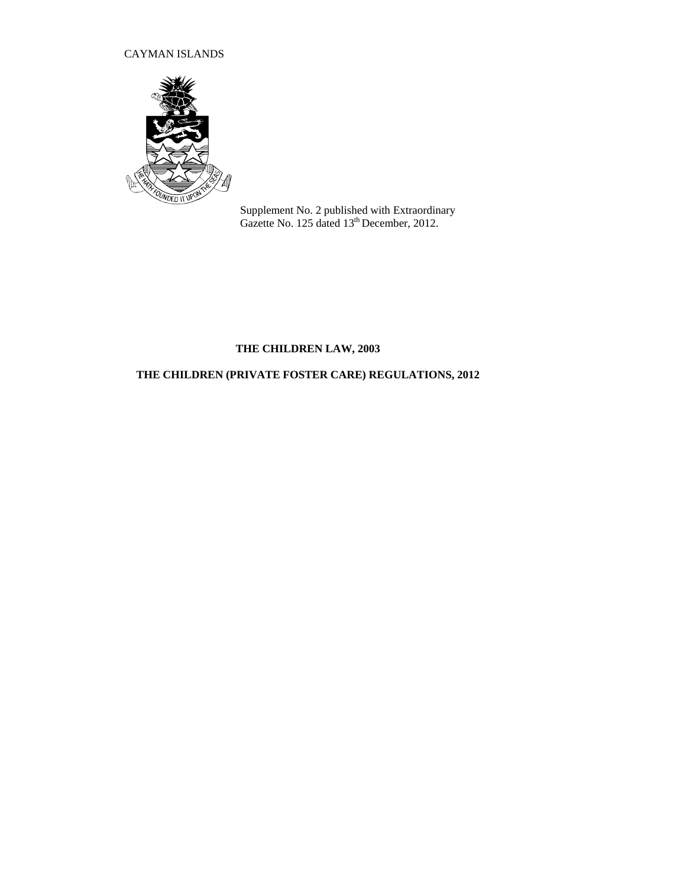## CAYMAN ISLANDS



Supplement No. 2 published with Extraordinary Gazette No. 125 dated 13<sup>th</sup> December, 2012.

# **THE CHILDREN LAW, 2003**

# **THE CHILDREN (PRIVATE FOSTER CARE) REGULATIONS, 2012**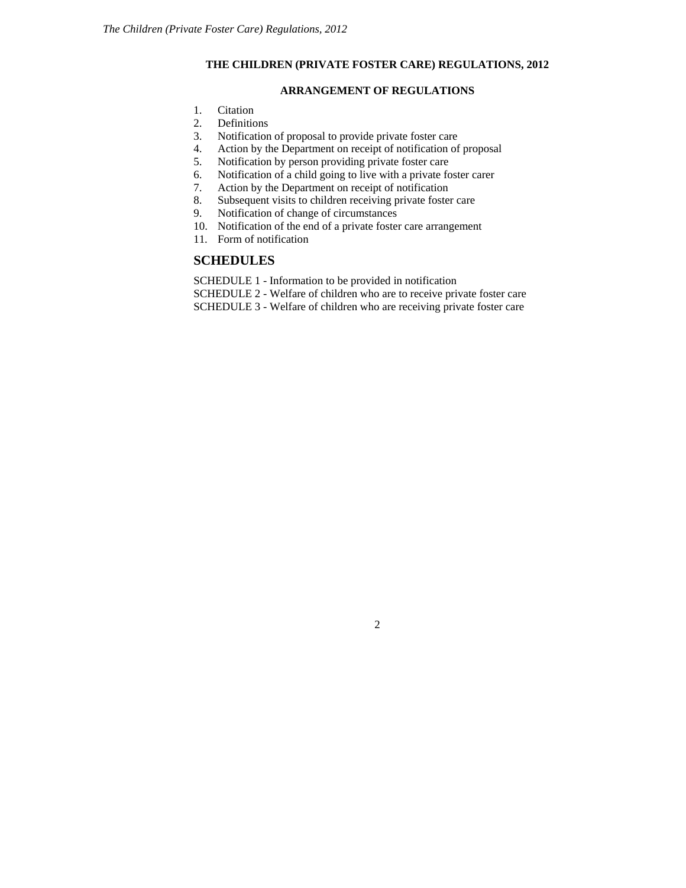### **THE CHILDREN (PRIVATE FOSTER CARE) REGULATIONS, 2012**

### **ARRANGEMENT OF REGULATIONS**

- [1.](http://www.opsi.gov.uk/si/si1991/Uksi_19910910_en_2.htm#mdiv1) Citation
- [2.](http://www.opsi.gov.uk/si/si1991/Uksi_19910910_en_2.htm#mdiv2) Definitions<br>3. Notification
- Notification of proposal to provide private foster care
- [4.](http://www.opsi.gov.uk/si/si1991/Uksi_19910910_en_3.htm#mdiv3) Action by the Department on receipt of notification of proposal
- [5.](http://www.opsi.gov.uk/si/si1991/Uksi_19910910_en_3.htm#mdiv4) Notification by person providing private foster care
- [6.](http://www.opsi.gov.uk/si/si1991/Uksi_19910910_en_3.htm#mdiv5) Notification of a child going to live with a private foster carer
- 
- [7.](http://www.opsi.gov.uk/si/si1991/Uksi_19910910_en_3.htm#mdiv6) Action by the Department on receipt of notification<br>8. Subsequent visits to children receiving private foster [8.](http://www.opsi.gov.uk/si/si1991/Uksi_19910910_en_3.htm#mdiv7) Subsequent visits to children receiving private foster care<br>9. Notification of change of circumstances
- [9.](http://www.opsi.gov.uk/si/si1991/Uksi_19910910_en_3.htm#mdiv9) Notification of change of circumstances
- 10. Notification of the end of a private foster care arrangement
- 11. Form of notification

### **SCHEDULES**

SCHEDULE 1 - Information to be provided in notification

SCHEDULE 2 - Welfare of children who are to receive private foster care SCHEDULE 3 - Welfare of children who are receiving private foster care

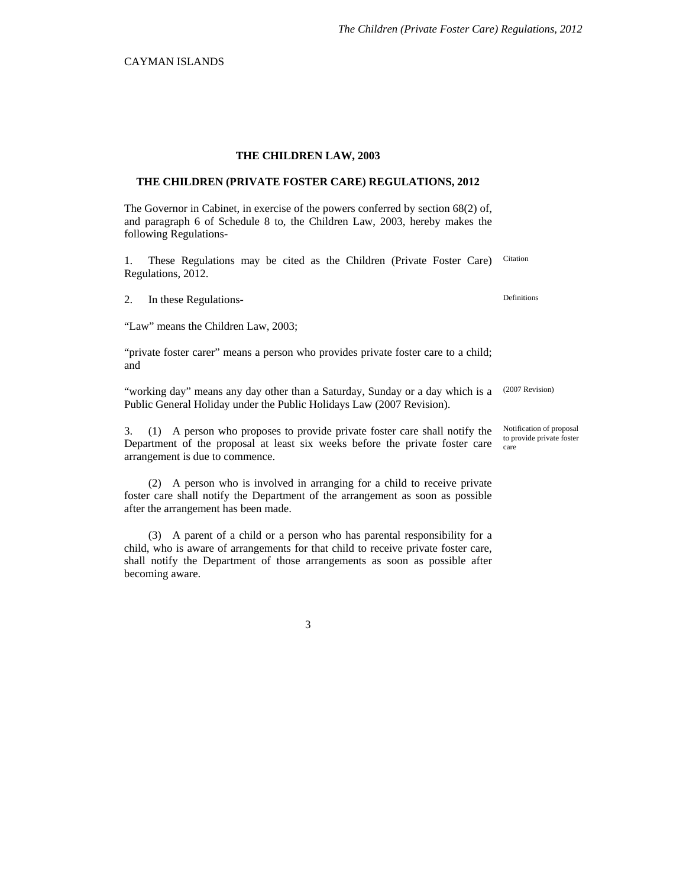#### **THE CHILDREN LAW, 2003**

#### **THE CHILDREN (PRIVATE FOSTER CARE) REGULATIONS, 2012**

The Governor in Cabinet, in exercise of the powers conferred by section 68(2) of, and paragraph 6 of Schedule 8 to, the Children Law, 2003, hereby makes the following Regulations-

1. These Regulations may be cited as the Children (Private Foster Care) Regulations, 2012. Citation

2. In these Regulations-<br>
Definitions

"Law" means the Children Law, 2003;

"private foster carer" means a person who provides private foster care to a child; and

"working day" means any day other than a Saturday, Sunday or a day which is a Public General Holiday under the Public Holidays Law (2007 Revision). (2007 Revision)

3. (1) A person who proposes to provide private foster care shall notify the Department of the proposal at least six weeks before the private foster care arrangement is due to commence.

(2) A person who is involved in arranging for a child to receive private foster care shall notify the Department of the arrangement as soon as possible after the arrangement has been made.

(3) A parent of a child or a person who has parental responsibility for a child, who is aware of arrangements for that child to receive private foster care, shall notify the Department of those arrangements as soon as possible after becoming aware.

Notification of proposal to provide private foster care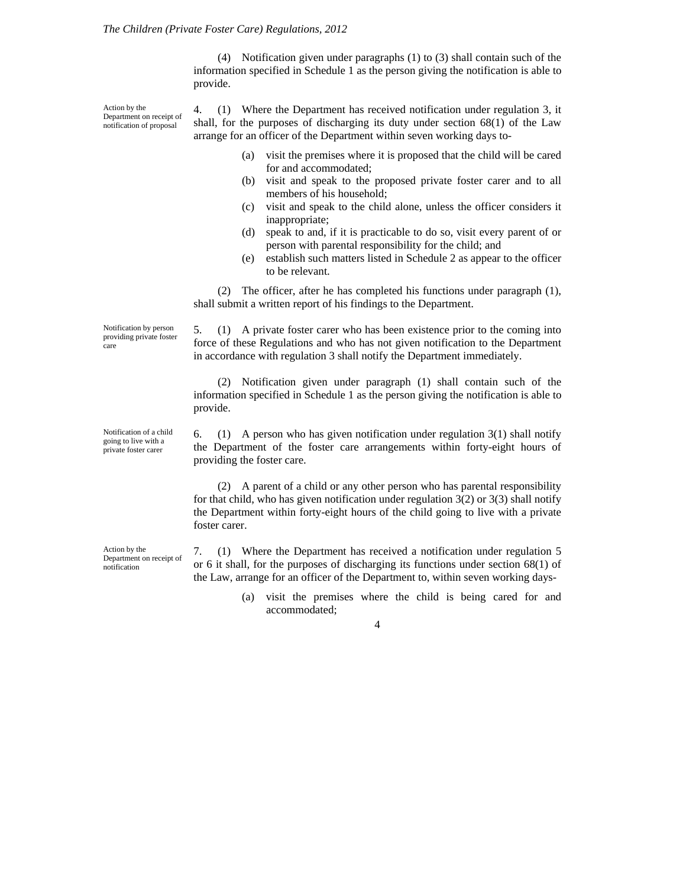(4) Notification given under paragraphs (1) to (3) shall contain such of the information specified in Schedule 1 as the person giving the notification is able to provide.

Action by the Department on receipt of notification of proposal

4. (1) Where the Department has received notification under regulation 3, it shall, for the purposes of discharging its duty under section 68(1) of the Law arrange for an officer of the Department within seven working days to-

- (a) visit the premises where it is proposed that the child will be cared for and accommodated;
- (b) visit and speak to the proposed private foster carer and to all members of his household;
- (c) visit and speak to the child alone, unless the officer considers it inappropriate;
- (d) speak to and, if it is practicable to do so, visit every parent of or person with parental responsibility for the child; and
- (e) establish such matters listed in Schedule 2 as appear to the officer to be relevant.

(2) The officer, after he has completed his functions under paragraph (1), shall submit a written report of his findings to the Department.

5. (1) A private foster carer who has been existence prior to the coming into force of these Regulations and who has not given notification to the Department in accordance with regulation 3 shall notify the Department immediately.

(2) Notification given under paragraph (1) shall contain such of the information specified in Schedule 1 as the person giving the notification is able to provide.

6. (1) A person who has given notification under regulation  $3(1)$  shall notify the Department of the foster care arrangements within forty-eight hours of providing the foster care.

(2) A parent of a child or any other person who has parental responsibility for that child, who has given notification under regulation 3(2) or 3(3) shall notify the Department within forty-eight hours of the child going to live with a private foster carer.

7. (1) Where the Department has received a notification under regulation 5 or 6 it shall, for the purposes of discharging its functions under section 68(1) of the Law, arrange for an officer of the Department to, within seven working days-

> (a) visit the premises where the child is being cared for and accommodated;

> > 4

Notification by person providing private foster care

Notification of a child going to live with a private foster carer

Action by the Department on receipt of notification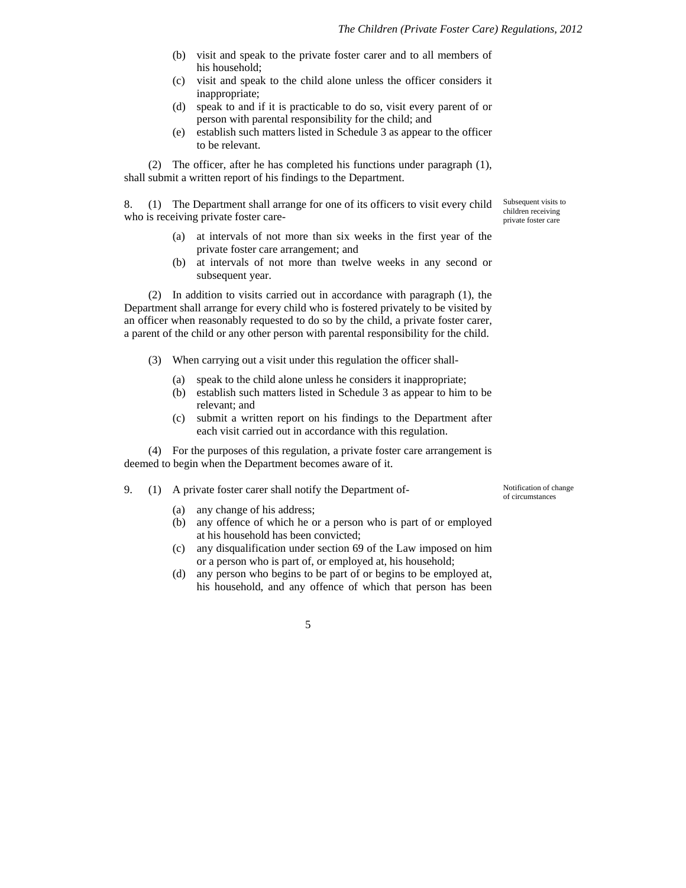- (b) visit and speak to the private foster carer and to all members of his household;
- (c) visit and speak to the child alone unless the officer considers it inappropriate;
- (d) speak to and if it is practicable to do so, visit every parent of or person with parental responsibility for the child; and
- (e) establish such matters listed in Schedule 3 as appear to the officer to be relevant.

(2) The officer, after he has completed his functions under paragraph (1), shall submit a written report of his findings to the Department.

8. (1) The Department shall arrange for one of its officers to visit every child who is receiving private foster care-

- (a) at intervals of not more than six weeks in the first year of the private foster care arrangement; and
- (b) at intervals of not more than twelve weeks in any second or subsequent year.

(2) In addition to visits carried out in accordance with paragraph (1), the Department shall arrange for every child who is fostered privately to be visited by an officer when reasonably requested to do so by the child, a private foster carer, a parent of the child or any other person with parental responsibility for the child.

- (3) When carrying out a visit under this regulation the officer shall-
	- (a) speak to the child alone unless he considers it inappropriate;
	- (b) establish such matters listed in Schedule 3 as appear to him to be relevant; and
	- (c) submit a written report on his findings to the Department after each visit carried out in accordance with this regulation.

(4) For the purposes of this regulation, a private foster care arrangement is deemed to begin when the Department becomes aware of it.

## 9. (1) A private foster carer shall notify the Department of-<br>Notification of change

- (a) any change of his address;
- (b) any offence of which he or a person who is part of or employed at his household has been convicted;
- (c) any disqualification under section 69 of the Law imposed on him or a person who is part of, or employed at, his household;
- (d) any person who begins to be part of or begins to be employed at, his household, and any offence of which that person has been

private foster care

Subsequent visits to children receiving

of circumstances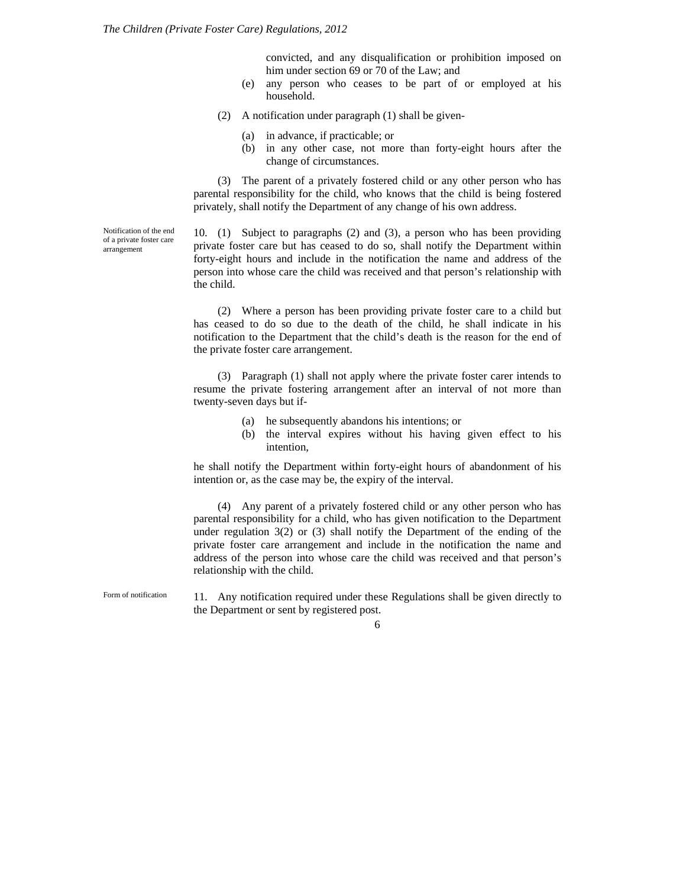convicted, and any disqualification or prohibition imposed on him under section 69 or 70 of the Law; and

- (e) any person who ceases to be part of or employed at his household.
- (2) A notification under paragraph (1) shall be given-
	- (a) in advance, if practicable; or
	- (b) in any other case, not more than forty-eight hours after the change of circumstances.

(3) The parent of a privately fostered child or any other person who has parental responsibility for the child, who knows that the child is being fostered privately, shall notify the Department of any change of his own address.

Notification of the end of a private foster care arrangement

10. (1) Subject to paragraphs (2) and (3), a person who has been providing private foster care but has ceased to do so, shall notify the Department within forty-eight hours and include in the notification the name and address of the person into whose care the child was received and that person's relationship with the child.

(2) Where a person has been providing private foster care to a child but has ceased to do so due to the death of the child, he shall indicate in his notification to the Department that the child's death is the reason for the end of the private foster care arrangement.

(3) Paragraph (1) shall not apply where the private foster carer intends to resume the private fostering arrangement after an interval of not more than twenty-seven days but if-

- (a) he subsequently abandons his intentions; or
- (b) the interval expires without his having given effect to his intention,

he shall notify the Department within forty-eight hours of abandonment of his intention or, as the case may be, the expiry of the interval.

(4) Any parent of a privately fostered child or any other person who has parental responsibility for a child, who has given notification to the Department under regulation 3(2) or (3) shall notify the Department of the ending of the private foster care arrangement and include in the notification the name and address of the person into whose care the child was received and that person's relationship with the child.

11. Any notification required under these Regulations shall be given directly to the Department or sent by registered post. Form of notification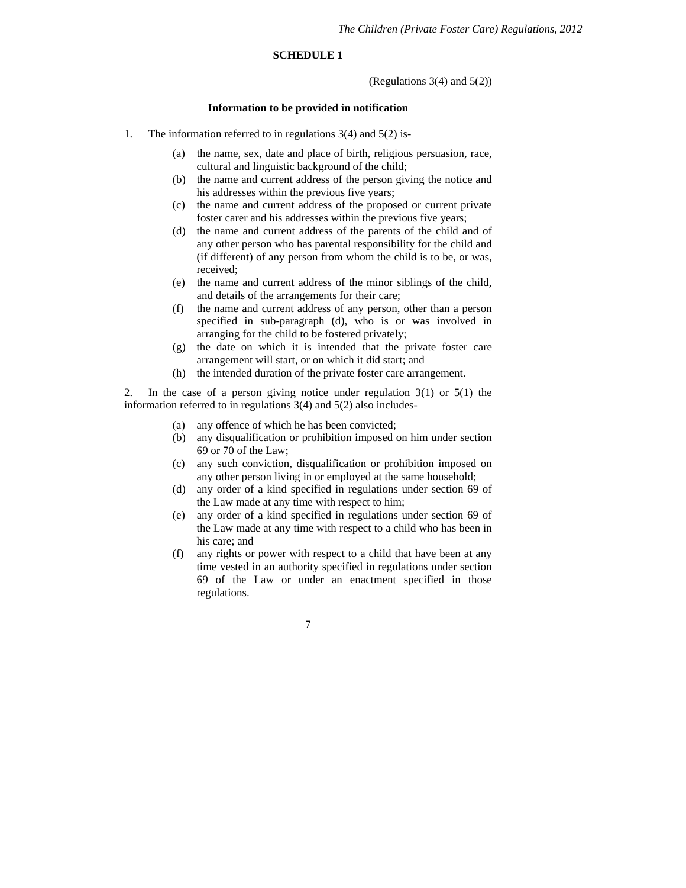### **SCHEDULE 1**

(Regulations 3(4) and 5(2))

### **Information to be provided in notification**

- 1. The information referred to in regulations 3(4) and 5(2) is-
	- (a) the name, sex, date and place of birth, religious persuasion, race, cultural and linguistic background of the child;
	- (b) the name and current address of the person giving the notice and his addresses within the previous five years;
	- (c) the name and current address of the proposed or current private foster carer and his addresses within the previous five years;
	- (d) the name and current address of the parents of the child and of any other person who has parental responsibility for the child and (if different) of any person from whom the child is to be, or was, received;
	- (e) the name and current address of the minor siblings of the child, and details of the arrangements for their care;
	- (f) the name and current address of any person, other than a person specified in sub-paragraph (d), who is or was involved in arranging for the child to be fostered privately;
	- (g) the date on which it is intended that the private foster care arrangement will start, or on which it did start; and
	- (h) the intended duration of the private foster care arrangement.

2. In the case of a person giving notice under regulation 3(1) or 5(1) the information referred to in regulations 3(4) and 5(2) also includes-

- (a) any offence of which he has been convicted;
- (b) any disqualification or prohibition imposed on him under section 69 or 70 of the Law;
- (c) any such conviction, disqualification or prohibition imposed on any other person living in or employed at the same household;
- (d) any order of a kind specified in regulations under section 69 of the Law made at any time with respect to him;
- (e) any order of a kind specified in regulations under section 69 of the Law made at any time with respect to a child who has been in his care; and
- (f) any rights or power with respect to a child that have been at any time vested in an authority specified in regulations under section 69 of the Law or under an enactment specified in those regulations.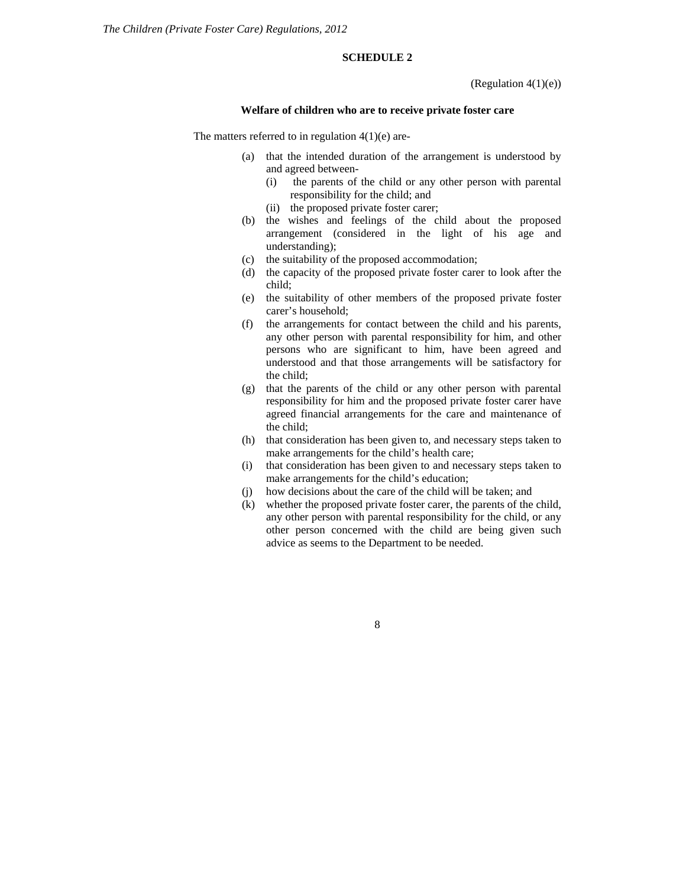### **SCHEDULE 2**

(Regulation  $4(1)(e)$ )

#### **Welfare of children who are to receive private foster care**

The matters referred to in regulation  $4(1)(e)$  are-

- (a) that the intended duration of the arrangement is understood by and agreed between-
	- (i) the parents of the child or any other person with parental responsibility for the child; and
	- (ii) the proposed private foster carer;
- (b) the wishes and feelings of the child about the proposed arrangement (considered in the light of his age and understanding);
- (c) the suitability of the proposed accommodation;
- (d) the capacity of the proposed private foster carer to look after the child;
- (e) the suitability of other members of the proposed private foster carer's household;
- (f) the arrangements for contact between the child and his parents, any other person with parental responsibility for him, and other persons who are significant to him, have been agreed and understood and that those arrangements will be satisfactory for the child;
- (g) that the parents of the child or any other person with parental responsibility for him and the proposed private foster carer have agreed financial arrangements for the care and maintenance of the child;
- (h) that consideration has been given to, and necessary steps taken to make arrangements for the child's health care;
- (i) that consideration has been given to and necessary steps taken to make arrangements for the child's education;
- (j) how decisions about the care of the child will be taken; and
- (k) whether the proposed private foster carer, the parents of the child, any other person with parental responsibility for the child, or any other person concerned with the child are being given such advice as seems to the Department to be needed.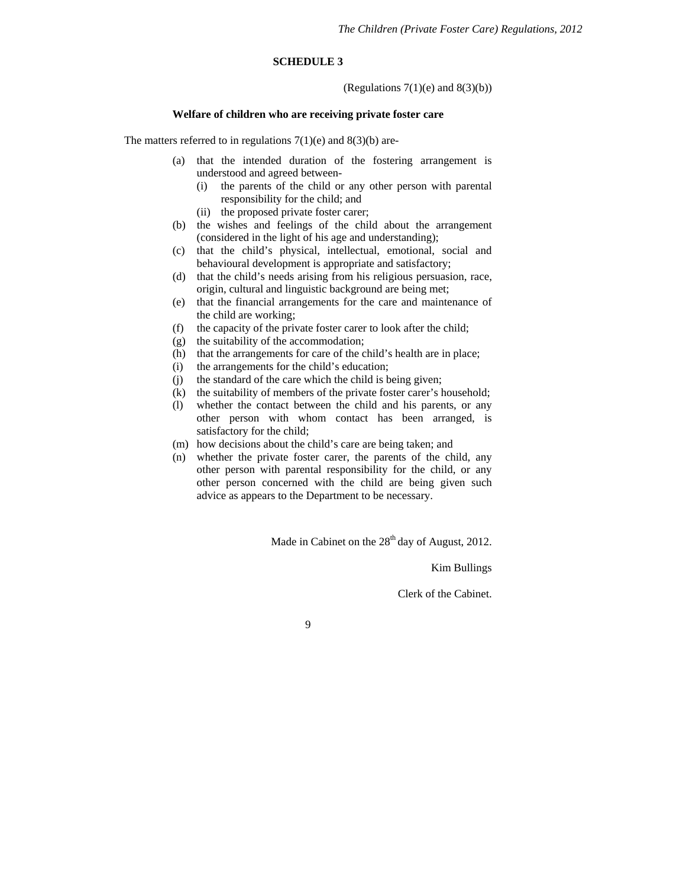#### **SCHEDULE 3**

(Regulations  $7(1)(e)$  and  $8(3)(b)$ )

#### **Welfare of children who are receiving private foster care**

The matters referred to in regulations  $7(1)(e)$  and  $8(3)(b)$  are-

- (a) that the intended duration of the fostering arrangement is understood and agreed between-
	- (i) the parents of the child or any other person with parental responsibility for the child; and
	- (ii) the proposed private foster carer;
- (b) the wishes and feelings of the child about the arrangement (considered in the light of his age and understanding);
- (c) that the child's physical, intellectual, emotional, social and behavioural development is appropriate and satisfactory;
- (d) that the child's needs arising from his religious persuasion, race, origin, cultural and linguistic background are being met;
- (e) that the financial arrangements for the care and maintenance of the child are working;
- (f) the capacity of the private foster carer to look after the child;
- (g) the suitability of the accommodation;
- (h) that the arrangements for care of the child's health are in place;
- (i) the arrangements for the child's education;
- (j) the standard of the care which the child is being given;
- (k) the suitability of members of the private foster carer's household;
- (l) whether the contact between the child and his parents, or any other person with whom contact has been arranged, is satisfactory for the child;
- (m) how decisions about the child's care are being taken; and
- (n) whether the private foster carer, the parents of the child, any other person with parental responsibility for the child, or any other person concerned with the child are being given such advice as appears to the Department to be necessary.

Made in Cabinet on the  $28<sup>th</sup>$  day of August, 2012.

Kim Bullings

Clerk of the Cabinet.